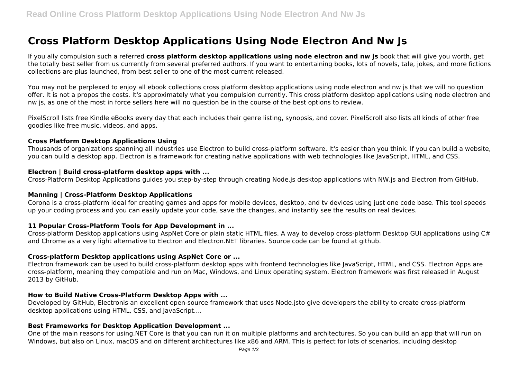# **Cross Platform Desktop Applications Using Node Electron And Nw Js**

If you ally compulsion such a referred **cross platform desktop applications using node electron and nw js** book that will give you worth, get the totally best seller from us currently from several preferred authors. If you want to entertaining books, lots of novels, tale, jokes, and more fictions collections are plus launched, from best seller to one of the most current released.

You may not be perplexed to enjoy all ebook collections cross platform desktop applications using node electron and nw js that we will no question offer. It is not a propos the costs. It's approximately what you compulsion currently. This cross platform desktop applications using node electron and nw js, as one of the most in force sellers here will no question be in the course of the best options to review.

PixelScroll lists free Kindle eBooks every day that each includes their genre listing, synopsis, and cover. PixelScroll also lists all kinds of other free goodies like free music, videos, and apps.

#### **Cross Platform Desktop Applications Using**

Thousands of organizations spanning all industries use Electron to build cross-platform software. It's easier than you think. If you can build a website, you can build a desktop app. Electron is a framework for creating native applications with web technologies like JavaScript, HTML, and CSS.

#### **Electron | Build cross-platform desktop apps with ...**

Cross-Platform Desktop Applications guides you step-by-step through creating Node.js desktop applications with NW.js and Electron from GitHub.

#### **Manning | Cross-Platform Desktop Applications**

Corona is a cross-platform ideal for creating games and apps for mobile devices, desktop, and tv devices using just one code base. This tool speeds up your coding process and you can easily update your code, save the changes, and instantly see the results on real devices.

# **11 Popular Cross-Platform Tools for App Development in ...**

Cross-platform Desktop applications using AspNet Core or plain static HTML files. A way to develop cross-platform Desktop GUI applications using C# and Chrome as a very light alternative to Electron and Electron.NET libraries. Source code can be found at github.

#### **Cross-platform Desktop applications using AspNet Core or ...**

Electron framework can be used to build cross-platform desktop apps with frontend technologies like JavaScript, HTML, and CSS. Electron Apps are cross-platform, meaning they compatible and run on Mac, Windows, and Linux operating system. Electron framework was first released in August 2013 by GitHub.

#### **How to Build Native Cross-Platform Desktop Apps with ...**

Developed by GitHub, Electronis an excellent open-source framework that uses Node.jsto give developers the ability to create cross-platform desktop applications using HTML, CSS, and JavaScript....

# **Best Frameworks for Desktop Application Development ...**

One of the main reasons for using.NET Core is that you can run it on multiple platforms and architectures. So you can build an app that will run on Windows, but also on Linux, macOS and on different architectures like x86 and ARM. This is perfect for lots of scenarios, including desktop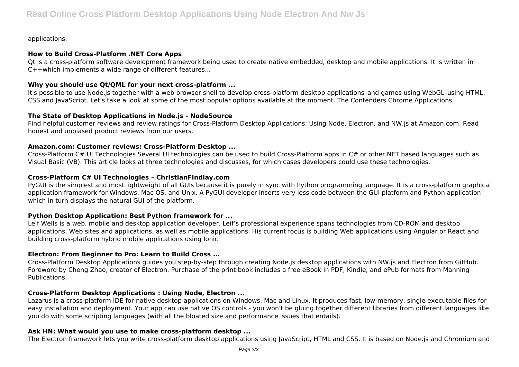applications.

# **How to Build Cross-Platform .NET Core Apps**

Qt is a cross-platform software development framework being used to create native embedded, desktop and mobile applications. It is written in C++which implements a wide range of different features...

## **Why you should use Qt/QML for your next cross-platform ...**

It's possible to use Node.js together with a web browser shell to develop cross-platform desktop applications–and games using WebGL–using HTML, CSS and JavaScript. Let's take a look at some of the most popular options available at the moment. The Contenders Chrome Applications.

# **The State of Desktop Applications in Node.js - NodeSource**

Find helpful customer reviews and review ratings for Cross-Platform Desktop Applications: Using Node, Electron, and NW.js at Amazon.com. Read honest and unbiased product reviews from our users.

## **Amazon.com: Customer reviews: Cross-Platform Desktop ...**

Cross-Platform C# UI Technologies Several UI technologies can be used to build Cross-Platform apps in C# or other.NET based languages such as Visual Basic (VB). This article looks at three technologies and discusses, for which cases developers could use these technologies.

#### **Cross-Platform C# UI Technologies – ChristianFindlay.com**

PyGUI is the simplest and most lightweight of all GUIs because it is purely in sync with Python programming language. It is a cross-platform graphical application framework for Windows, Mac OS, and Unix. A PyGUI developer inserts very less code between the GUI platform and Python application which in turn displays the natural GUI of the platform.

# **Python Desktop Application: Best Python framework for ...**

Leif Wells is a web, mobile and desktop application developer. Leif's professional experience spans technologies from CD-ROM and desktop applications, Web sites and applications, as well as mobile applications. His current focus is building Web applications using Angular or React and building cross-platform hybrid mobile applications using Ionic.

# **Electron: From Beginner to Pro: Learn to Build Cross ...**

Cross-Platform Desktop Applications guides you step-by-step through creating Node.js desktop applications with NW.js and Electron from GitHub. Foreword by Cheng Zhao, creator of Electron. Purchase of the print book includes a free eBook in PDF, Kindle, and ePub formats from Manning **Publications** 

# **Cross-Platform Desktop Applications : Using Node, Electron ...**

Lazarus is a cross-platform IDE for native desktop applications on Windows, Mac and Linux. It produces fast, low-memory, single executable files for easy installation and deployment. Your app can use native OS controls - you won't be gluing together different libraries from different languages like you do with some scripting languages (with all the bloated size and performance issues that entails).

# **Ask HN: What would you use to make cross-platform desktop ...**

The Electron framework lets you write cross-platform desktop applications using JavaScript, HTML and CSS. It is based on Node.js and Chromium and